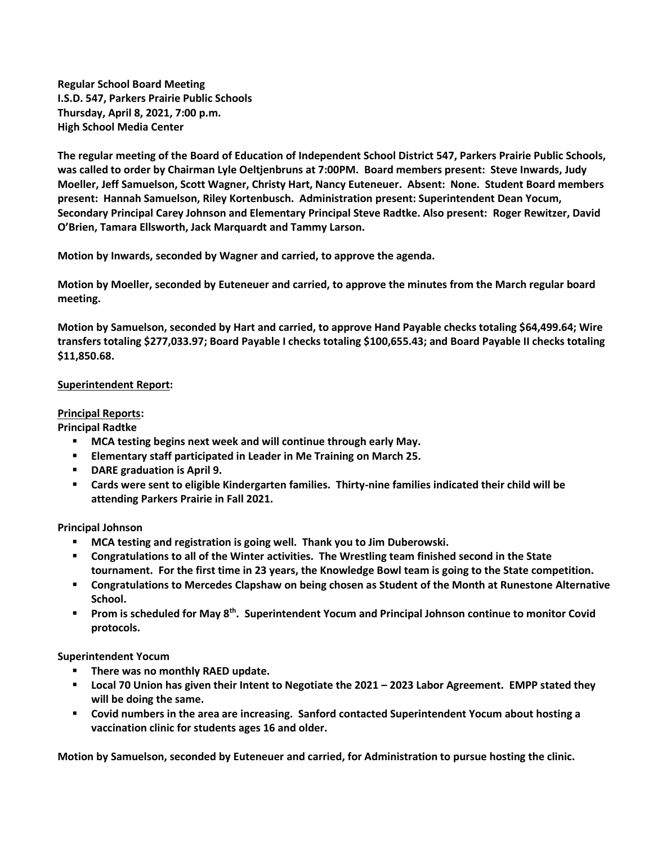**Regular School Board Meeting I.S.D. 547, Parkers Prairie Public Schools Thursday, April 8, 2021, 7:00 p.m. High School Media Center**

**The regular meeting of the Board of Education of Independent School District 547, Parkers Prairie Public Schools, was called to order by Chairman Lyle Oeltjenbruns at 7:00PM. Board members present: Steve Inwards, Judy Moeller, Jeff Samuelson, Scott Wagner, Christy Hart, Nancy Euteneuer. Absent: None. Student Board members present: Hannah Samuelson, Riley Kortenbusch. Administration present: Superintendent Dean Yocum, Secondary Principal Carey Johnson and Elementary Principal Steve Radtke. Also present: Roger Rewitzer, David O'Brien, Tamara Ellsworth, Jack Marquardt and Tammy Larson.**

**Motion by Inwards, seconded by Wagner and carried, to approve the agenda.**

**Motion by Moeller, seconded by Euteneuer and carried, to approve the minutes from the March regular board meeting.**

**Motion by Samuelson, seconded by Hart and carried, to approve Hand Payable checks totaling \$64,499.64; Wire transfers totaling \$277,033.97; Board Payable I checks totaling \$100,655.43; and Board Payable II checks totaling \$11,850.68.** 

## **Superintendent Report:**

## **Principal Reports:**

**Principal Radtke**

- **MCA testing begins next week and will continue through early May.**
- **Elementary staff participated in Leader in Me Training on March 25.**
- **P** DARE graduation is April 9.
- **Cards were sent to eligible Kindergarten families. Thirty-nine families indicated their child will be attending Parkers Prairie in Fall 2021.**

**Principal Johnson**

- **MCA testing and registration is going well. Thank you to Jim Duberowski.**
- **Congratulations to all of the Winter activities. The Wrestling team finished second in the State tournament. For the first time in 23 years, the Knowledge Bowl team is going to the State competition.**
- **Congratulations to Mercedes Clapshaw on being chosen as Student of the Month at Runestone Alternative School.**
- **Prom is scheduled for May 8th. Superintendent Yocum and Principal Johnson continue to monitor Covid protocols.**

**Superintendent Yocum**

- **There was no monthly RAED update.**
- **Local 70 Union has given their Intent to Negotiate the 2021 2023 Labor Agreement. EMPP stated they will be doing the same.**
- **Covid numbers in the area are increasing. Sanford contacted Superintendent Yocum about hosting a vaccination clinic for students ages 16 and older.**

**Motion by Samuelson, seconded by Euteneuer and carried, for Administration to pursue hosting the clinic.**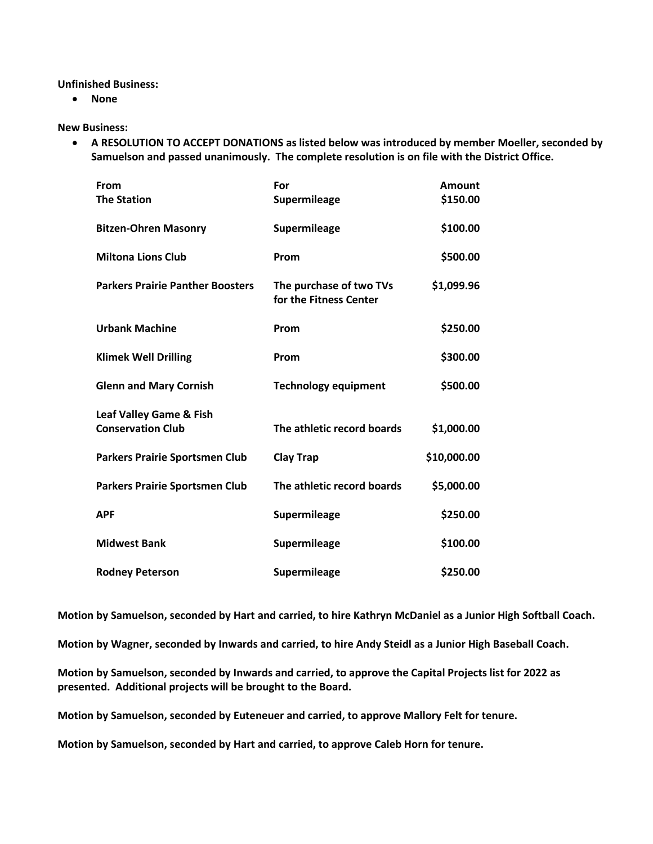**Unfinished Business:**

**None**

**New Business:**

 **A RESOLUTION TO ACCEPT DONATIONS as listed below was introduced by member Moeller, seconded by Samuelson and passed unanimously. The complete resolution is on file with the District Office.** 

| From                                    | For                                               | <b>Amount</b> |
|-----------------------------------------|---------------------------------------------------|---------------|
| <b>The Station</b>                      | Supermileage                                      | \$150.00      |
| <b>Bitzen-Ohren Masonry</b>             | Supermileage                                      | \$100.00      |
| <b>Miltona Lions Club</b>               | Prom                                              | \$500.00      |
| <b>Parkers Prairie Panther Boosters</b> | The purchase of two TVs<br>for the Fitness Center | \$1,099.96    |
| <b>Urbank Machine</b>                   | Prom                                              | \$250.00      |
| <b>Klimek Well Drilling</b>             | Prom                                              | \$300.00      |
| <b>Glenn and Mary Cornish</b>           | <b>Technology equipment</b>                       | \$500.00      |
| Leaf Valley Game & Fish                 |                                                   |               |
| <b>Conservation Club</b>                | The athletic record boards                        | \$1,000.00    |
| <b>Parkers Prairie Sportsmen Club</b>   | <b>Clay Trap</b>                                  | \$10,000.00   |
| <b>Parkers Prairie Sportsmen Club</b>   | The athletic record boards                        | \$5,000.00    |
| <b>APF</b>                              | <b>Supermileage</b>                               | \$250.00      |
| <b>Midwest Bank</b>                     | Supermileage                                      | \$100.00      |
| <b>Rodney Peterson</b>                  | <b>Supermileage</b>                               | \$250.00      |

**Motion by Samuelson, seconded by Hart and carried, to hire Kathryn McDaniel as a Junior High Softball Coach.**

**Motion by Wagner, seconded by Inwards and carried, to hire Andy Steidl as a Junior High Baseball Coach.**

**Motion by Samuelson, seconded by Inwards and carried, to approve the Capital Projects list for 2022 as presented. Additional projects will be brought to the Board.**

**Motion by Samuelson, seconded by Euteneuer and carried, to approve Mallory Felt for tenure.**

**Motion by Samuelson, seconded by Hart and carried, to approve Caleb Horn for tenure.**